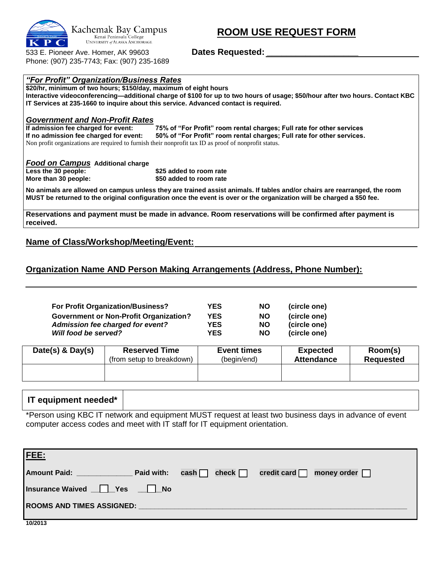

 **ROOM USE REQUEST FORM**

533 E. Pioneer Ave. Homer, AK 99603 **Dates Requested: \_\_\_\_\_\_\_\_\_\_\_\_\_\_\_\_\_\_\_** Phone: (907) 235-7743; Fax: (907) 235-1689

*"For Profit" Organization/Business Rates*

| \$20/hr, minimum of two hours; \$150/day, maximum of eight hours |                                                                                                                               |
|------------------------------------------------------------------|-------------------------------------------------------------------------------------------------------------------------------|
|                                                                  | Interactive videoconferencing—additional charge of \$100 for up to two hours of usage; \$50/hour after two hours. Contact KBC |
|                                                                  | IT Services at 235-1660 to inquire about this service. Advanced contact is required.                                          |
| <b>Government and Non-Profit Rates</b>                           |                                                                                                                               |
| If admission fee charged for event:                              | 75% of "For Profit" room rental charges; Full rate for other services                                                         |
| If no admission fee charged for event:                           | 50% of "For Profit" room rental charges; Full rate for other services.                                                        |
|                                                                  | Non profit organizations are required to furnish their nonprofit tax ID as proof of nonprofit status.                         |
| Food on Campus Additional charge                                 |                                                                                                                               |
| Less the 30 people:                                              | \$25 added to room rate                                                                                                       |
| More than 30 people:                                             | \$50 added to room rate                                                                                                       |
|                                                                  | No animals are allowed on campus unless they are trained assist animals. If tables and/or chairs are rearranged, the room     |
|                                                                  | MUST be returned to the original configuration once the event is over or the organization will be charged a \$50 fee.         |
|                                                                  | Reservations and payment must be made in advance. Room reservations will be confirmed after payment is                        |

**received.**

## **Name of Class/Workshop/Meeting/Event:**

## **Organization Name AND Person Making Arrangements (Address, Phone Number):**

| <b>For Profit Organization/Business?</b>      | YES        | <b>NO</b> | (circle one) |
|-----------------------------------------------|------------|-----------|--------------|
| <b>Government or Non-Profit Organization?</b> | <b>YES</b> | <b>NO</b> | (circle one) |
| Admission fee charged for event?              | YES        | <b>NO</b> | (circle one) |
| Will food be served?                          | YES        | <b>NO</b> | (circle one) |

| Date(s) $&$ Day(s) | <b>Reserved Time</b>      | <b>Event times</b> | <b>Expected</b>   | Room(s)          |
|--------------------|---------------------------|--------------------|-------------------|------------------|
|                    | (from setup to breakdown) | (begin/end)        | <b>Attendance</b> | <b>Requested</b> |
|                    |                           |                    |                   |                  |

## **IT equipment needed\***

\*Person using KBC IT network and equipment MUST request at least two business days in advance of event computer access codes and meet with IT staff for IT equipment orientation.

| <u>FEE:</u>                                                                                                                                                                                                                    |  |  |  |  |  |  |
|--------------------------------------------------------------------------------------------------------------------------------------------------------------------------------------------------------------------------------|--|--|--|--|--|--|
|                                                                                                                                                                                                                                |  |  |  |  |  |  |
| Insurance Waived   Yes   No                                                                                                                                                                                                    |  |  |  |  |  |  |
| ROOMS AND TIMES ASSIGNED: Notified that the set of the set of the set of the set of the set of the set of the set of the set of the set of the set of the set of the set of the set of the set of the set of the set of the se |  |  |  |  |  |  |
| 10/2013                                                                                                                                                                                                                        |  |  |  |  |  |  |